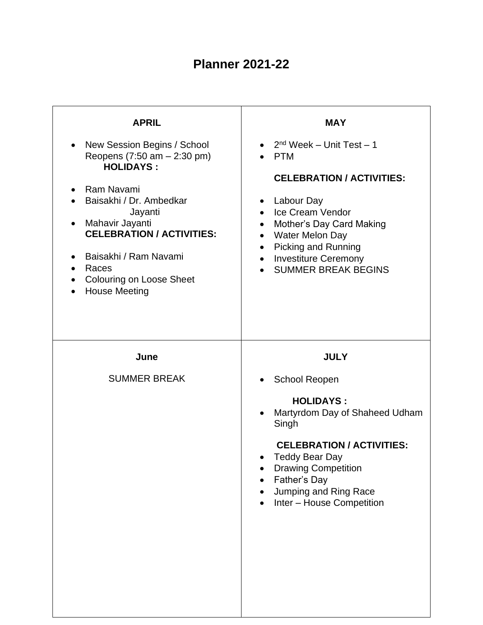## **Planner 2021-22**

| <b>APRIL</b><br>New Session Begins / School<br>Reopens (7:50 am - 2:30 pm)<br><b>HOLIDAYS:</b><br>Ram Navami<br>Baisakhi / Dr. Ambedkar<br>Jayanti<br>Mahavir Jayanti<br><b>CELEBRATION / ACTIVITIES:</b><br>Baisakhi / Ram Navami<br>Races<br><b>Colouring on Loose Sheet</b><br><b>House Meeting</b> | <b>MAY</b><br>$2nd$ Week – Unit Test – 1<br><b>PTM</b><br><b>CELEBRATION / ACTIVITIES:</b><br>Labour Day<br>$\bullet$<br>Ice Cream Vendor<br>$\bullet$<br>Mother's Day Card Making<br>$\bullet$<br><b>Water Melon Day</b><br>$\bullet$<br>Picking and Running<br>$\bullet$<br><b>Investiture Ceremony</b><br>$\bullet$<br><b>SUMMER BREAK BEGINS</b> |
|--------------------------------------------------------------------------------------------------------------------------------------------------------------------------------------------------------------------------------------------------------------------------------------------------------|------------------------------------------------------------------------------------------------------------------------------------------------------------------------------------------------------------------------------------------------------------------------------------------------------------------------------------------------------|
| June<br><b>SUMMER BREAK</b>                                                                                                                                                                                                                                                                            | <b>JULY</b><br><b>School Reopen</b><br><b>HOLIDAYS:</b><br>Martyrdom Day of Shaheed Udham<br>Singh<br><b>CELEBRATION / ACTIVITIES:</b><br><b>Teddy Bear Day</b><br><b>Drawing Competition</b><br>Father's Day<br>Jumping and Ring Race<br>Inter - House Competition                                                                                  |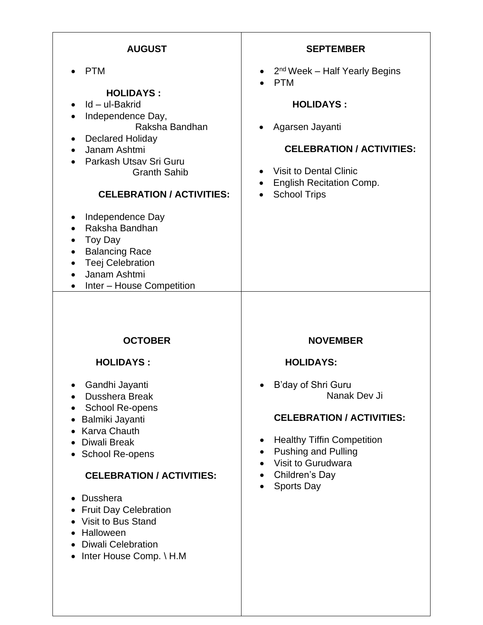| <b>AUGUST</b>                                                                                                                                                                                                                                                                                                                                                                                                                 | <b>SEPTEMBER</b>                                                                                                                                                                                                                                                   |
|-------------------------------------------------------------------------------------------------------------------------------------------------------------------------------------------------------------------------------------------------------------------------------------------------------------------------------------------------------------------------------------------------------------------------------|--------------------------------------------------------------------------------------------------------------------------------------------------------------------------------------------------------------------------------------------------------------------|
| <b>PTM</b><br><b>HOLIDAYS:</b><br>Id - ul-Bakrid<br>Independence Day,<br>$\bullet$<br>Raksha Bandhan<br><b>Declared Holiday</b><br>Janam Ashtmi<br>Parkash Utsav Sri Guru<br><b>Granth Sahib</b><br><b>CELEBRATION / ACTIVITIES:</b><br>Independence Day<br>Raksha Bandhan<br>Toy Day<br>$\bullet$<br><b>Balancing Race</b><br>$\bullet$<br><b>Teej Celebration</b><br>$\bullet$<br>Janam Ashtmi<br>Inter - House Competition | • $2^{nd}$ Week – Half Yearly Begins<br>PTM<br><b>HOLIDAYS:</b><br>• Agarsen Jayanti<br><b>CELEBRATION / ACTIVITIES:</b><br>Visit to Dental Clinic<br><b>English Recitation Comp.</b><br><b>School Trips</b>                                                       |
| <b>OCTOBER</b><br><b>HOLIDAYS:</b><br>Gandhi Jayanti<br><b>Dusshera Break</b><br>School Re-opens<br>Balmiki Jayanti<br>Karva Chauth<br><b>Diwali Break</b><br>School Re-opens<br><b>CELEBRATION / ACTIVITIES:</b><br><b>Dusshera</b><br><b>Fruit Day Celebration</b><br>$\bullet$<br>Visit to Bus Stand<br>Halloween<br><b>Diwali Celebration</b><br>Inter House Comp. \ H.M                                                  | <b>NOVEMBER</b><br><b>HOLIDAYS:</b><br>B'day of Shri Guru<br>Nanak Dev Ji<br><b>CELEBRATION / ACTIVITIES:</b><br><b>Healthy Tiffin Competition</b><br>٠<br><b>Pushing and Pulling</b><br>٠<br>Visit to Gurudwara<br>$\bullet$<br>Children's Day<br>٠<br>Sports Day |